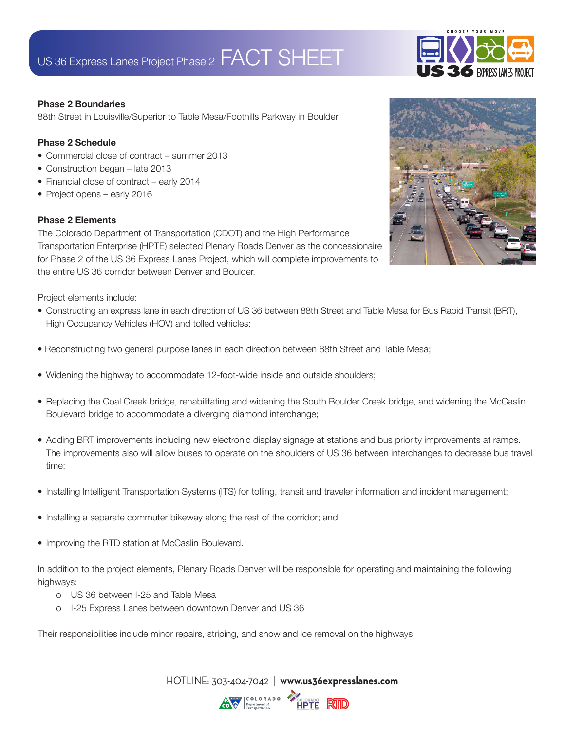## US 36 Express Lanes Project Phase 2 FACT SHEET



#### **Phase 2 Boundaries**

88th Street in Louisville/Superior to Table Mesa/Foothills Parkway in Boulder

#### **Phase 2 Schedule**

- Commercial close of contract summer 2013
- Construction began late 2013
- Financial close of contract early 2014
- Project opens early 2016

### **Phase 2 Elements**

The Colorado Department of Transportation (CDOT) and the High Performance Transportation Enterprise (HPTE) selected Plenary Roads Denver as the concessionaire for Phase 2 of the US 36 Express Lanes Project, which will complete improvements to the entire US 36 corridor between Denver and Boulder.

Project elements include:

- Constructing an express lane in each direction of US 36 between 88th Street and Table Mesa for Bus Rapid Transit (BRT), High Occupancy Vehicles (HOV) and tolled vehicles;
- Reconstructing two general purpose lanes in each direction between 88th Street and Table Mesa;
- Widening the highway to accommodate 12-foot-wide inside and outside shoulders;
- Replacing the Coal Creek bridge, rehabilitating and widening the South Boulder Creek bridge, and widening the McCaslin Boulevard bridge to accommodate a diverging diamond interchange;
- Adding BRT improvements including new electronic display signage at stations and bus priority improvements at ramps. The improvements also will allow buses to operate on the shoulders of US 36 between interchanges to decrease bus travel time;
- Installing Intelligent Transportation Systems (ITS) for tolling, transit and traveler information and incident management;
- Installing a separate commuter bikeway along the rest of the corridor; and
- Improving the RTD station at McCaslin Boulevard.

In addition to the project elements, Plenary Roads Denver will be responsible for operating and maintaining the following highways:

- o US 36 between I-25 and Table Mesa
- o I-25 Express Lanes between downtown Denver and US 36

Their responsibilities include minor repairs, striping, and snow and ice removal on the highways.